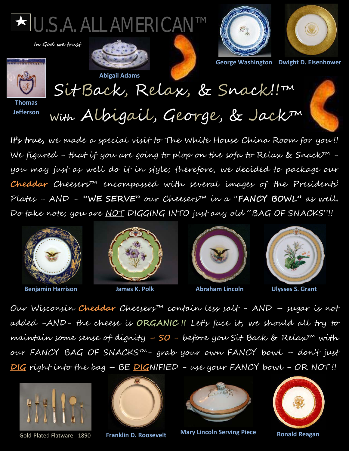

 **In God we trust**





**Abigail Adams**





**George Washington Dwight D. Eisenhower**

Sit Back, Relax, & Snack!!™

**Thomas Jefferson**

**With** Albigail, George, & Jack™

**It's true,** we made a special visit to The White House China Room for you !! We figured - that if you are going to plop on the sofa to Relax & Snack™ you may just as well do it in style; therefore, we decided to package our **Cheddar** Cheesers™ encompassed with several images of the Presidents' Plates - AND – **"WE SERVE"** our Cheesers™ in a "**FANCY BOWL"** as well. Do take note; you are <u>NOT</u> DIGGING INTO just any old "BAG OF SNACKS"!!



**Benjamin Harrison Communisty Communist Communist Communist Communist Communist Communist Communist Communist Communist Communist Communist Communist Communist Communist Communist Communist Communist Communist Communist Co** 







Our Wisconsin **Cheddar** Cheesers™ contain less salt - AND – sugar is not added -AND- the cheese is **ORGANIC !!** Let's face it, we should all try to maintain some sense of dignity **– SO -** before you Sit Back & Relax™ with our FANCY BAG OF SNACKS™- grab your own FANCY bowl – don't just **DIG** right into the bag – BE **DIG**NIFIED - use your FANCY bowl - OR NOT !!





**Franklin D. Roosevelt**



Gold-Plated Flatware - 1890 **Franklin D. Roosevelt Mary Lincoln Serving Piece** 



**Ronald Reagan**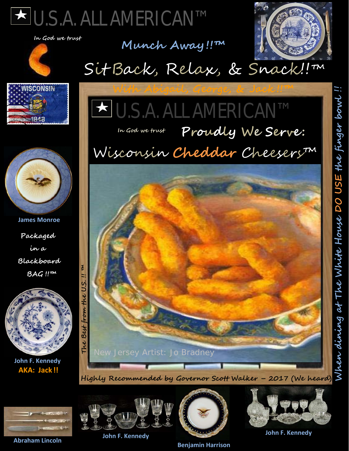



## **Munch Away !!™**





Sit Back, Relax, & Snack!! m



 **James Monroe**

**Packaged**

**in a**

**Blackboard**

 **BAG !!™**



### **In God we trust**

# Wisconsin **Cheddar** Cheesers™





**John F. Kennedy AKA: Jack !!**

**Abraham Lincoln** 



**John F. Kennedy**



 **Benjamin Harrison** 



**John F. Kennedy**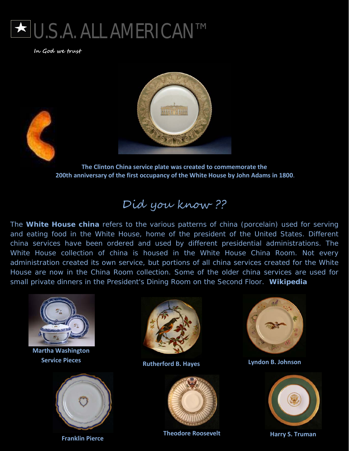

 **In God we trust**



**The Clinton China service plate was created to commemorate the 200th anniversary of the first occupancy of the White House by John Adams in 1800**.

### Did you know ??

The **White House china** refers to the various patterns of china (porcelain) used for serving and eating food in the White House, home of the president of the United States. Different china services have been ordered and used by different presidential administrations. The White House collection of china is housed in the White House China Room. Not every administration created its own service, but portions of all china services created for the White House are now in the China Room collection. Some of the older china services are used for small private dinners in the President's Dining Room on the Second Floor. **Wikipedia**



**Martha Washington** 





Ď **Service Pieces Rutherford B. Hayes Lyndon B. Johnson**



**Theodore Roosevelt Harry S. Truman Franklin Pierce**